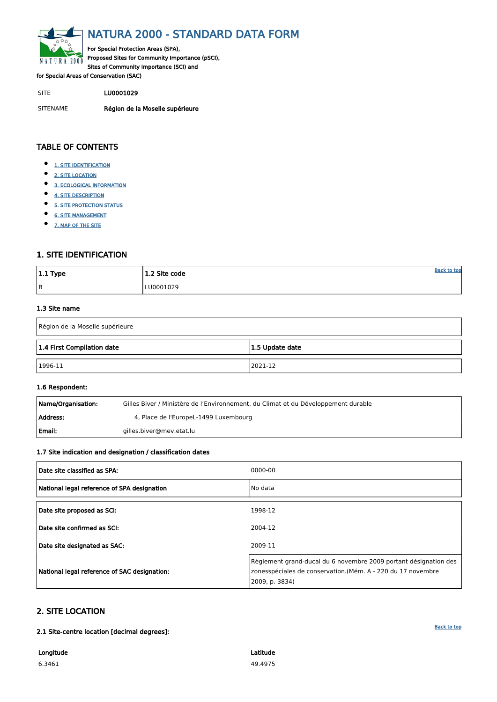<span id="page-0-0"></span>

# NATURA 2000 - STANDARD DATA FORM

For Special Protection Areas (SPA), Proposed Sites for Community Importance (pSCI), Sites of Community Importance (SCI) and

for Special Areas of Conservation (SAC)

- $\bullet$ [1. SITE IDENTIFICATION](#page-0-1)
- $\bullet$ [2. SITE LOCATION](#page-0-2)
- $\bullet$ [3. ECOLOGICAL INFORMATION](#page-1-0)
- $\bullet$ [4. SITE DESCRIPTION](#page-4-0)
- $\bullet$ [5. SITE PROTECTION STATUS](#page-6-0)
- $\bullet$ [6. SITE MANAGEMENT](#page-6-1)
- $\bullet$ [7. MAP OF THE SITE](#page-7-0)

SITE LU0001029

SITENAME Région de la Moselle supérieure

| $ 1.1$ Type | 1.2 Site code | <b>Back to top</b> |
|-------------|---------------|--------------------|
| B           | LU0001029     |                    |

## TABLE OF CONTENTS

| Name/Organisation: | Gilles Biver / Ministère de l'Environnement, du Climat et du Développement durable |
|--------------------|------------------------------------------------------------------------------------|
| Address:           | 4, Place de l'EuropeL-1499 Luxembourg                                              |
| l Email:           | gilles.biver@mev.etat.lu                                                           |

## <span id="page-0-1"></span>1. SITE IDENTIFICATION

#### 1.3 Site name

| Région de la Moselle supérieure               |         |  |  |  |  |  |  |  |  |
|-----------------------------------------------|---------|--|--|--|--|--|--|--|--|
| 1.4 First Compilation date<br>1.5 Update date |         |  |  |  |  |  |  |  |  |
| $ 1996-11$                                    | 2021-12 |  |  |  |  |  |  |  |  |

#### 1.6 Respondent:

## 1.7 Site indication and designation / classification dates

| Date site classified as SPA:                | 0000-00 |
|---------------------------------------------|---------|
| National legal reference of SPA designation | No data |
| Date site proposed as SCI:                  | 1998-12 |
| Date site confirmed as SCI:                 | 2004-12 |

| Date site designated as SAC:                 | 2009-11                                                                                                                                           |
|----------------------------------------------|---------------------------------------------------------------------------------------------------------------------------------------------------|
| National legal reference of SAC designation: | Règlement grand-ducal du 6 novembre 2009 portant désignation des<br>zonesspéciales de conservation.(Mém. A - 220 du 17 novembre<br>2009, p. 3834) |

## <span id="page-0-2"></span>2. SITE LOCATION

2.1 Site-centre location [decimal degrees]:

Longitude

6.3461

Latitude 49.4975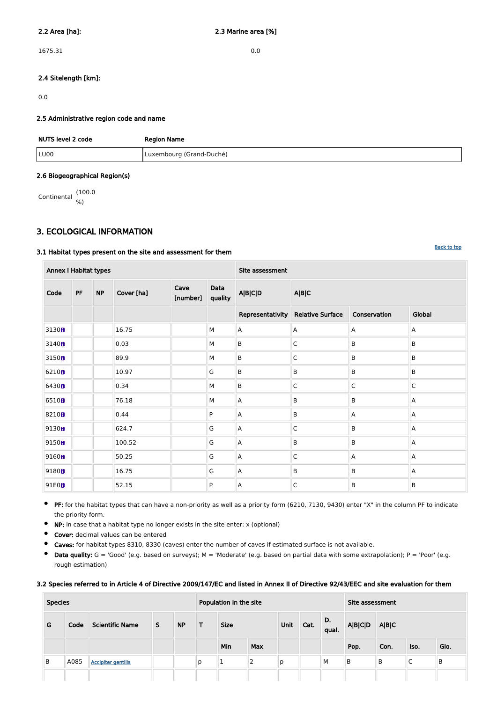1675.31 0.0

## 2.4 Sitelength [km]:

0.0

## 2.5 Administrative region code and name

| NUTS level 2 code | <b>Region Name</b>       |
|-------------------|--------------------------|
| LU00              | Luxembourg (Grand-Duché) |

#### 2.6 Biogeographical Region(s)

Continental (100.0 %)

## <span id="page-1-0"></span>3. ECOLOGICAL INFORMATION

## 3.1 Habitat types present on the site and assessment for them

 $\bullet$ PF: for the habitat types that can have a non-priority as well as a priority form (6210, 7130, 9430) enter "X" in the column PF to indicate the priority form.

 $\bullet$ NP: in case that a habitat type no longer exists in the site enter: x (optional)

| <b>Annex I Habitat types</b> |           |           |            |                  |                 | Site assessment           |                         |                         |             |  |  |  |  |
|------------------------------|-----------|-----------|------------|------------------|-----------------|---------------------------|-------------------------|-------------------------|-------------|--|--|--|--|
| Code                         | <b>PF</b> | <b>NP</b> | Cover [ha] | Cave<br>[number] | Data<br>quality | <b>A B C D</b>            | A B C                   |                         |             |  |  |  |  |
|                              |           |           |            |                  |                 | Representativity          | <b>Relative Surface</b> | Conservation            | Global      |  |  |  |  |
| 3130 <sub>0</sub>            |           |           | 16.75      |                  | M               | A                         | A                       | $\mathsf{A}$            | Α           |  |  |  |  |
| 3140 <sub>0</sub>            |           |           | 0.03       |                  | М               | $\sf B$                   | $\mathsf C$             | B                       | B           |  |  |  |  |
| 3150 <sub>0</sub>            |           |           | 89.9       |                  | М               | $\sf B$                   | $\mathsf C$             | B                       | B           |  |  |  |  |
| 6210 <sub>B</sub>            |           |           | 10.97      |                  | G               | B                         | B                       | $\sf B$                 | B           |  |  |  |  |
| 6430B                        |           |           | 0.34       |                  | M               | $\sf B$                   | $\mathsf C$             | $\overline{\mathsf{C}}$ | $\mathsf C$ |  |  |  |  |
| 6510B                        |           |           | 76.18      |                  | М               | A                         | B                       | B                       | Α           |  |  |  |  |
| 8210 <sub>8</sub>            |           |           | 0.44       |                  | P               | A                         | B                       | $\mathsf{A}$            | Α           |  |  |  |  |
| 9130B                        |           |           | 624.7      |                  | G               | A                         | $\mathsf C$             | B                       | Α           |  |  |  |  |
| 9150B                        |           |           | 100.52     |                  | G               | A                         | B                       | B                       | Α           |  |  |  |  |
| 9160 <sub>0</sub>            |           |           | 50.25      |                  | G               | A                         | $\mathsf C$             | $\mathsf{A}$            | Α           |  |  |  |  |
| 9180 <sub>0</sub>            |           |           | 16.75      |                  | G               | $\boldsymbol{\mathsf{A}}$ | B                       | $\sf B$                 | Α           |  |  |  |  |
| 91E0B                        |           |           | 52.15      |                  | P               | A                         | $\mathsf C$             | B                       | B           |  |  |  |  |

- $\bullet$ Cover: decimal values can be entered
- $\bullet$ Caves: for habitat types 8310, 8330 (caves) enter the number of caves if estimated surface is not available.
- $\bullet$ Data quality:  $G = 'Good'$  (e.g. based on surveys);  $M = 'Modern'$  (e.g. based on partial data with some extrapolation);  $P = 'Poor'$  (e.g. rough estimation)

#### 3.2 Species referred to in Article 4 of Directive 2009/147/EC and listed in Annex II of Directive 92/43/EEC and site evaluation for them

| <b>Species</b> |      |                           |   | Population in the site |   |             |                |      |             | Site assessment |       |      |      |      |
|----------------|------|---------------------------|---|------------------------|---|-------------|----------------|------|-------------|-----------------|-------|------|------|------|
| G              | Code | <b>Scientific Name</b>    | S | <b>NP</b>              | т | <b>Size</b> | Unit           | Cat. | D.<br>qual. | <b>A B C D</b>  | A B C |      |      |      |
|                |      |                           |   |                        |   | Min         | <b>Max</b>     |      |             |                 | Pop.  | Con. | Iso. | Glo. |
| B              | A085 | <b>Accipiter gentilis</b> |   |                        | p |             | $\overline{2}$ | р    |             | M               | B     | B    | ◡    | B    |
|                |      |                           |   |                        |   |             |                |      |             |                 |       |      |      |      |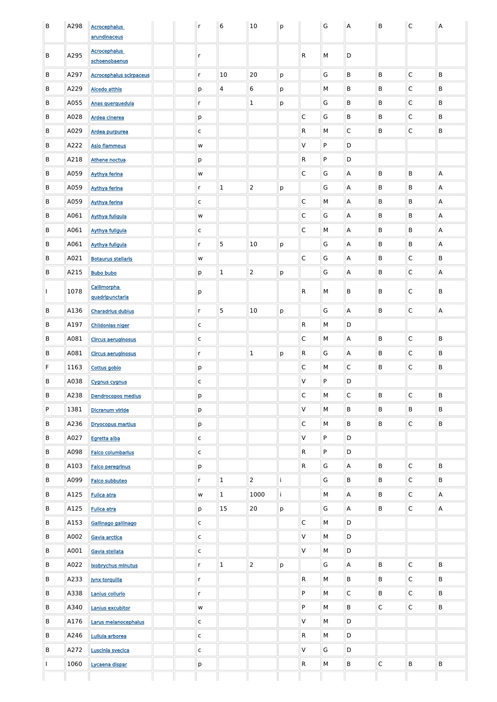| B  | A298 | <b>Acrocephalus</b>                   | $\mathsf{r}$  | $\bf 6$                 | 10               | p  |                | G         | A              | B            | $\mathsf C$  | A |
|----|------|---------------------------------------|---------------|-------------------------|------------------|----|----------------|-----------|----------------|--------------|--------------|---|
|    |      | arundinaceus                          |               |                         |                  |    |                |           |                |              |              |   |
| B  | A295 | <b>Acrocephalus</b><br>schoenobaenus  | r             |                         |                  |    | ${\sf R}$      | M         | D              |              |              |   |
| B  | A297 | <b>Acrocephalus scirpaceus</b>        | r             | 10                      | 20               | p  |                | G         | B              | B            | $\mathsf C$  | B |
| B  | A229 | <b>Alcedo atthis</b>                  | р             | $\overline{\mathbf{4}}$ | $\boldsymbol{6}$ | р  |                | M         | B              | B            | $\mathsf C$  | B |
| B  | A055 | Anas querquedula                      | r             |                         | $\mathbf{1}$     | р  |                | G         | B              | B            | $\mathsf C$  | B |
| B  | A028 | Ardea cinerea                         | р             |                         |                  |    | $\mathsf{C}$   | G         | B              | B            | $\mathsf C$  | B |
| B  | A029 | Ardea purpurea                        | $\mathsf C$   |                         |                  |    | $\mathsf{R}$   | M         | $\mathsf C$    | B            | $\mathsf C$  | B |
| B  | A222 | <b>Asio flammeus</b>                  | W             |                         |                  |    | V              | ${\sf P}$ | D              |              |              |   |
| B  | A218 | Athene noctua                         | р             |                         |                  |    | $\mathsf{R}$   | ${\sf P}$ | D              |              |              |   |
| B  | A059 | <b>Aythya ferina</b>                  | ${\mathsf W}$ |                         |                  |    | $\mathsf C$    | G         | $\overline{A}$ | B            | B            | A |
| B  | A059 | <b>Aythya ferina</b>                  | r             | $\mathbf{1}$            | $\overline{2}$   | p  |                | G         | $\overline{A}$ | B            | B            | A |
| B  | A059 | <b>Aythya ferina</b>                  | $\mathsf{C}$  |                         |                  |    | $\mathsf C$    | M         | $\overline{A}$ | B            | B            | Α |
| B  | A061 | <b>Aythya fuligula</b>                | W             |                         |                  |    | $\mathsf C$    | G         | $\overline{A}$ | B            | B            | A |
| B  | A061 | <b>Aythya fuligula</b>                | $\mathsf{C}$  |                         |                  |    | $\mathsf C$    | M         | $\overline{A}$ | B            | B            | Α |
| B  | A061 | <b>Aythya fuligula</b>                | r             | 5                       | 10               | p  |                | G         | $\overline{A}$ | B            | B            | A |
| B  | A021 | <b>Botaurus stellaris</b>             | ${\mathsf W}$ |                         |                  |    | $\mathsf C$    | G         | $\overline{A}$ | B            | $\mathsf C$  | B |
| B  | A215 | <b>Bubo bubo</b>                      | р             | $\mathbf{1}$            | $\overline{2}$   | p  |                | G         | Α              | B            | $\mathsf C$  | A |
|    | 1078 | <b>Callimorpha</b><br>quadripunctaria | p             |                         |                  |    | $\overline{R}$ | M         | B              | B            | $\mathsf C$  | B |
| B  | A136 | <b>Charadrius dubius</b>              | r             | 5                       | 10               | p  |                | G         | $\overline{A}$ | B            | $\mathsf C$  | A |
| B  | A197 | <b>Chlidonias niger</b>               | $\mathsf{C}$  |                         |                  |    | $\mathsf{R}$   | M         | D              |              |              |   |
| B  | A081 | <b>Circus aeruginosus</b>             | $\mathsf C$   |                         |                  |    | $\mathsf C$    | M         | $\overline{A}$ | B            | $\mathsf C$  | B |
| B  | A081 | <b>Circus aeruginosus</b>             | r             |                         | $\mathbf{1}$     | p  | $\mathsf{R}$   | G         | $\overline{A}$ | B            | $\mathsf C$  | B |
| F. | 1163 | Cottus gobio                          | p             |                         |                  |    | $\mathsf{C}$   | M         | $\mathsf{C}$   | B            | $\mathsf C$  | B |
| B  | A038 | <b>Cygnus cygnus</b>                  | $\mathsf C$   |                         |                  |    | V              | $\sf P$   | D              |              |              |   |
| B  | A238 | <b>Dendrocopos medius</b>             | p             |                         |                  |    | $\mathsf{C}$   | M         | $\mathsf{C}$   | B            | $\mathsf C$  | B |
| P  | 1381 | Dicranum viride                       | р             |                         |                  |    | V              | M         | B              | B            | B            | B |
| B  | A236 | <b>Dryocopus martius</b>              | р             |                         |                  |    | $\mathsf{C}$   | M         | B              | B            | $\mathsf C$  | B |
| B  | A027 | Egretta alba                          | $\mathsf{C}$  |                         |                  |    | $\mathsf{V}$   | P         | D              |              |              |   |
| B  | A098 | <b>Falco columbarius</b>              | $\mathsf C$   |                         |                  |    | $\mathsf{R}$   | P         | D              |              |              |   |
| B  | A103 | <b>Falco peregrinus</b>               | р             |                         |                  |    | $\mathsf{R}$   | G         | $\overline{A}$ | B            | $\mathsf C$  | B |
| B  | A099 | Falco subbuteo                        | r             | $\mathbf 1$             | $\overline{2}$   | j. |                | G         | B              | B            | $\mathsf C$  | B |
| B  | A125 | <b>Fulica atra</b>                    | W             | $\mathbf 1$             | 1000             | j. |                | M         | $\overline{A}$ | B            | $\mathsf C$  | А |
| B  | A125 | <b>Fulica atra</b>                    | p             | 15                      | 20               | p  |                | G         | $\overline{A}$ | B            | $\mathsf C$  | Α |
| B  | A153 | Gallinago gallinago                   | $\mathsf{C}$  |                         |                  |    | $\mathsf C$    | M         | D              |              |              |   |
| B  | A002 | Gavia arctica                         | $\mathsf C$   |                         |                  |    | V              | M         | D              |              |              |   |
| B  | A001 | Gavia stellata                        | $\mathsf C$   |                         |                  |    | V              | M         | D              |              |              |   |
| B  | A022 | Ixobrychus minutus                    | r             | $\mathbf 1$             | $\overline{2}$   | p  |                | G         | $\overline{A}$ | B            | $\mathsf C$  | B |
| B  | A233 | <b>Jynx torquilla</b>                 | r             |                         |                  |    | $\mathsf{R}$   | M         | B              | B            | $\mathsf{C}$ | B |
| B  | A338 | Lanius collurio                       | r             |                         |                  |    | P              | M         | $\mathsf{C}$   | B            | $\mathsf{C}$ | B |
| B  | A340 | Lanius excubitor                      | W             |                         |                  |    | P              | M         | B              | $\mathsf{C}$ | $\mathsf C$  | B |
| B  | A176 | Larus melanocephalus                  | $\mathsf{C}$  |                         |                  |    | V              | M         | D              |              |              |   |
| B  | A246 | Lullula arborea                       | $\mathsf{C}$  |                         |                  |    | $\mathsf{R}$   | M         | D              |              |              |   |
| B  | A272 | Luscinia svecica                      | $\mathsf{C}$  |                         |                  |    | V              | G         | D              |              |              |   |
|    | 1060 | Lycaena dispar                        | p             |                         |                  |    | $\mathsf{R}$   | M         | B              | $\mathsf{C}$ | B            | B |
|    |      |                                       |               |                         |                  |    |                |           |                |              |              |   |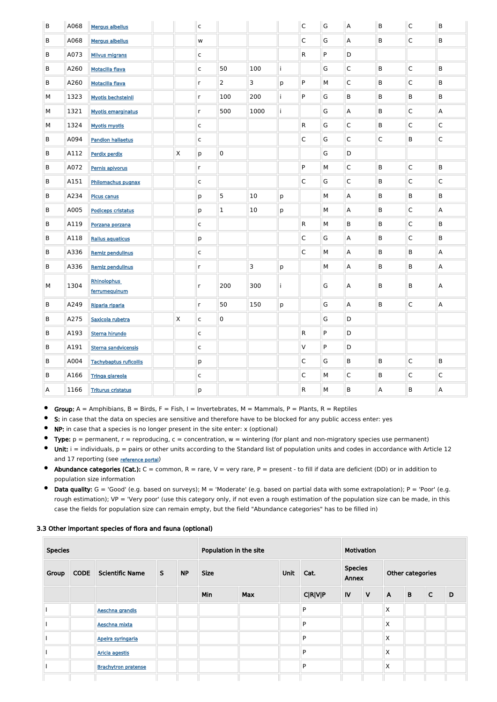| B | A068 | <b>Mergus albellus</b>              |              | $\overline{\mathsf{c}}$ |                |      |    | $\mathsf C$  | G | $\boldsymbol{\mathsf{A}}$ | $\sf B$        | $\overline{\mathsf{C}}$ | B                         |
|---|------|-------------------------------------|--------------|-------------------------|----------------|------|----|--------------|---|---------------------------|----------------|-------------------------|---------------------------|
| B | A068 | Mergus albellus                     |              | w                       |                |      |    | $\mathsf{C}$ | G | A                         | B              | $\overline{\mathsf{C}}$ | B                         |
| B | A073 | <b>Milvus migrans</b>               |              | $\mathsf C$             |                |      |    | $\mathsf{R}$ | P | D                         |                |                         |                           |
| B | A260 | <b>Motacilla flava</b>              |              | $\mathsf C$             | 50             | 100  | İ. |              | G | $\mathsf{C}$              | $\sf B$        | $\overline{\mathsf{C}}$ | B                         |
| B | A260 | <b>Motacilla flava</b>              |              | $\mathsf{r}$            | $\overline{2}$ | 3    | p  | P            | M | $\mathsf{C}$              | $\sf B$        | $\overline{\mathsf{C}}$ | B                         |
| М | 1323 | <b>Myotis bechsteinii</b>           |              | $\mathsf{r}$            | 100            | 200  | i. | P            | G | B                         | B              | B                       | B                         |
| М | 1321 | <b>Myotis emarginatus</b>           |              | $\mathsf{r}$            | 500            | 1000 | i. |              | G | A                         | B              | $\overline{\mathsf{C}}$ | Α                         |
| М | 1324 | <b>Myotis myotis</b>                |              | $\mathsf C$             |                |      |    | $\mathsf{R}$ | G | $\mathsf C$               | B              | $\overline{\mathsf{C}}$ | $\mathsf C$               |
| B | A094 | <b>Pandion haliaetus</b>            |              | $\mathsf C$             |                |      |    | $\mathsf C$  | G | $\mathsf C$               | $\overline{C}$ | B                       | $\mathsf C$               |
| B | A112 | <b>Perdix perdix</b>                | $\mathsf{X}$ | p                       | $\pmb{0}$      |      |    |              | G | D                         |                |                         |                           |
| B | A072 | Pernis apivorus                     |              | $\mathsf{r}$            |                |      |    | P            | M | $\mathsf C$               | B              | $\overline{\mathsf{C}}$ | B                         |
| B | A151 | Philomachus pugnax                  |              | $\mathsf C$             |                |      |    | $\mathsf C$  | G | $\mathsf C$               | B              | $\overline{\mathsf{C}}$ | $\mathsf C$               |
| B | A234 | <b>Picus canus</b>                  |              | p                       | 5              | 10   | p  |              | M | A                         | B              | B                       | B                         |
| B | A005 | <b>Podiceps cristatus</b>           |              | р                       | $\mathbf 1$    | 10   | p  |              | M | A                         | B              | $\overline{\mathsf{C}}$ | A                         |
| B | A119 | Porzana porzana                     |              | $\mathsf C$             |                |      |    | $\mathsf{R}$ | M | B                         | B              | $\overline{\mathsf{C}}$ | B                         |
| B | A118 | <b>Rallus aquaticus</b>             |              | p                       |                |      |    | $\mathsf C$  | G | A                         | B              | $\overline{\mathsf{C}}$ | B                         |
| B | A336 | <b>Remiz pendulinus</b>             |              | $\mathsf C$             |                |      |    | $\mathsf{C}$ | M | A                         | B              | B                       | Α                         |
| B | A336 | <b>Remiz pendulinus</b>             |              | $\mathsf{r}$            |                | 3    | p  |              | M | A                         | B              | B                       | $\mathsf{A}$              |
| М | 1304 | <b>Rhinolophus</b><br>ferrumequinum |              | $\mathsf{r}$            | 200            | 300  |    |              | G | A                         | В              | В                       | A                         |
| B | A249 | Riparia riparia                     |              | $\mathsf{r}$            | 50             | 150  | p  |              | G | A                         | B              | $\overline{\mathsf{C}}$ | $\boldsymbol{\mathsf{A}}$ |
| B | A275 | Saxicola rubetra                    | $\mathsf{X}$ | $\mathsf{C}$            | $\pmb{0}$      |      |    |              | G | D                         |                |                         |                           |
| B | A193 | Sterna hirundo                      |              | $\mathsf{C}$            |                |      |    | $\mathsf{R}$ | P | D                         |                |                         |                           |
| B | A191 | <b>Sterna sandvicensis</b>          |              | $\mathsf{C}$            |                |      |    | $\mathsf V$  | P | $\mathsf D$               |                |                         |                           |
| B | A004 | <b>Tachybaptus ruficollis</b>       |              | p                       |                |      |    | $\mathsf{C}$ | G | $\mathsf B$               | B              | $\overline{\mathsf{C}}$ | B                         |
| B | A166 | Tringa glareola                     |              | $\mathsf{C}$            |                |      |    | $\mathsf C$  | М | $\mathsf C$               | B              | $\mathsf{C}$            | $\mathsf C$               |
| A | 1166 | <b>Triturus cristatus</b>           |              | p                       |                |      |    | $\mathsf{R}$ | М | $\mathsf B$               | $\mathsf{A}$   | B                       | A                         |

- $\bullet$ Group:  $A =$  Amphibians,  $B =$  Birds,  $F =$  Fish, I = Invertebrates, M = Mammals, P = Plants, R = Reptiles
- $\bullet$ S: in case that the data on species are sensitive and therefore have to be blocked for any public access enter: yes
- $\bullet$ NP: in case that a species is no longer present in the site enter: x (optional)
- Type:  $p =$  permanent,  $r =$  reproducing,  $c =$  concentration,  $w =$  wintering (for plant and non-migratory species use permanent)  $\bullet$
- Unit:  $i =$  individuals,  $p =$  pairs or other units according to the Standard list of population units and codes in accordance with Article 12  $\bullet$ and 17 reporting (see [reference portal](http://bd.eionet.europa.eu/activities/Natura_2000/reference_portal))
- Abundance categories (Cat.):  $C =$  common,  $R =$  rare,  $V =$  very rare,  $P =$  present to fill if data are deficient (DD) or in addition to population size information
- $\bullet$ Data quality:  $G = 'Good'$  (e.g. based on surveys);  $M = 'Modern'$  (e.g. based on partial data with some extrapolation);  $P = 'Poor'$  (e.g. rough estimation); VP = 'Very poor' (use this category only, if not even a rough estimation of the population size can be made, in this case the fields for population size can remain empty, but the field "Abundance categories" has to be filled in)

## 3.3 Other important species of flora and fauna (optional)

| <b>Species</b> |  |                             |   |           | Population in the site |            |  |                |    | Motivation   |              |             |             |   |      |      |                         |  |  |                  |  |  |
|----------------|--|-----------------------------|---|-----------|------------------------|------------|--|----------------|----|--------------|--------------|-------------|-------------|---|------|------|-------------------------|--|--|------------------|--|--|
| Group          |  | <b>CODE</b> Scientific Name | S | <b>NP</b> | <b>Size</b>            |            |  |                |    |              |              |             |             |   | Unit | Cat. | <b>Species</b><br>Annex |  |  | Other categories |  |  |
|                |  |                             |   |           | Min                    | <b>Max</b> |  | <b>C R V P</b> | IV | $\mathsf{V}$ | $\mathsf{A}$ | $\mathbf B$ | $\mathsf C$ | D |      |      |                         |  |  |                  |  |  |
|                |  | Aeschna grandis             |   |           |                        |            |  | P              |    |              | $\sf X$      |             |             |   |      |      |                         |  |  |                  |  |  |
|                |  | Aeschna mixta               |   |           |                        |            |  | P              |    |              | X            |             |             |   |      |      |                         |  |  |                  |  |  |
|                |  | Apeira syringaria           |   |           |                        |            |  | P              |    |              | X            |             |             |   |      |      |                         |  |  |                  |  |  |
|                |  | <b>Aricia agestis</b>       |   |           |                        |            |  | P              |    |              | X            |             |             |   |      |      |                         |  |  |                  |  |  |
|                |  | <b>Brachytron pratense</b>  |   |           |                        |            |  | P              |    |              | X            |             |             |   |      |      |                         |  |  |                  |  |  |
|                |  |                             |   |           |                        |            |  |                |    |              |              |             |             |   |      |      |                         |  |  |                  |  |  |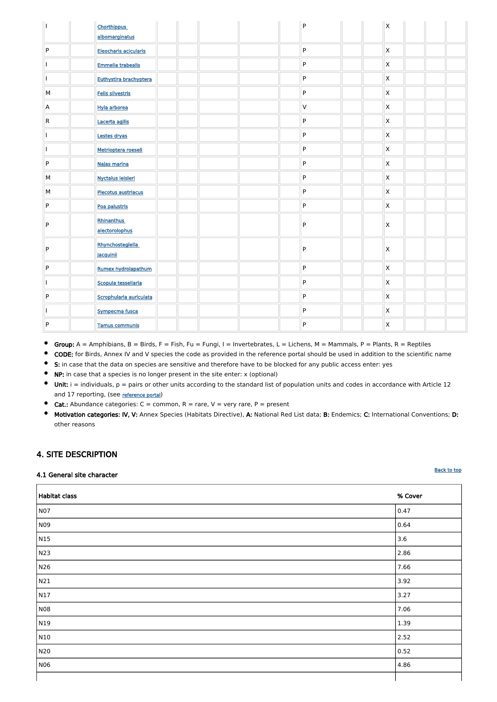|                         | <b>Chorthippus</b><br>albomarginatus |  |  | P              | $\mathsf{X}$            |  |  |
|-------------------------|--------------------------------------|--|--|----------------|-------------------------|--|--|
| ${\sf P}$               | Eleocharis acicularis                |  |  | ${\sf P}$      | $\mathsf{\overline{X}}$ |  |  |
|                         | <b>Emmelia trabealis</b>             |  |  | ${\sf P}$      | $\mathsf{\overline{X}}$ |  |  |
|                         | Euthystira brachyptera               |  |  | P              | $\mathsf{\overline{X}}$ |  |  |
| M                       | Felis silvestris                     |  |  | ${\sf P}$      | $\mathsf{\overline{X}}$ |  |  |
| $\mathsf{A}$            | Hyla arborea                         |  |  | V              | $\mathsf{\overline{X}}$ |  |  |
| $\overline{\mathsf{R}}$ | Lacerta agilis                       |  |  | P              | $\mathsf{\overline{X}}$ |  |  |
|                         | Lestes dryas                         |  |  | P              | $\mathsf{\overline{X}}$ |  |  |
|                         | Metrioptera roeseli                  |  |  | ${\sf P}$      | $\mathsf{\overline{X}}$ |  |  |
| ${\sf P}$               | Najas marina                         |  |  | ${\sf P}$      | $\mathsf{\overline{X}}$ |  |  |
| M                       | <b>Nyctalus leisleri</b>             |  |  | ${\sf P}$      | $\mathsf{\overline{X}}$ |  |  |
| M                       | Plecotus austriacus                  |  |  | ${\sf P}$      | $\mathsf{\overline{X}}$ |  |  |
| ${\sf P}$               | Poa palustris                        |  |  | ${\sf P}$      | $\mathsf{\overline{X}}$ |  |  |
| P                       | <b>Rhinanthus</b><br>alectorolophus  |  |  | $\mathsf{P}$   | $\mathsf{\overline{X}}$ |  |  |
| P                       | Rhynchostegiella<br>jacquinii        |  |  | P              | $\mathsf{X}$            |  |  |
| ${\sf P}$               | Rumex hydrolapathum                  |  |  | P              | $\mathsf{\overline{X}}$ |  |  |
| п.                      | Scopula tessellaria                  |  |  | ${\sf P}$      | $\pmb{\mathsf{X}}$      |  |  |
| $\vert P \vert$         | Scrophularia auriculata              |  |  | $\overline{P}$ | $\mathsf{X}$            |  |  |
|                         | Sympecma fusca                       |  |  | $\mathsf{P}$   | $\mathsf{X}$            |  |  |
| $\mathsf{P}$            | <b>Tamus communis</b>                |  |  | $\mathsf{P}$   | X                       |  |  |

- $\bullet$ Group:  $A =$  Amphibians,  $B =$  Birds,  $F =$  Fish, Fu = Fungi, I = Invertebrates, L = Lichens, M = Mammals, P = Plants, R = Reptiles
- $\bullet$ CODE: for Birds, Annex IV and V species the code as provided in the reference portal should be used in addition to the scientific name
- **6** S: in case that the data on species are sensitive and therefore have to be blocked for any public access enter: yes
- NP: in case that a species is no longer present in the site enter: x (optional)
- $\bullet$ Unit:  $i =$  individuals,  $p =$  pairs or other units according to the standard list of population units and codes in accordance with Article 12 and 17 reporting, (see [reference portal](http://bd.eionet.europa.eu/activities/Natura_2000/reference_portal))
- $\bullet$ **Cat.:** Abundance categories:  $C =$  common,  $R =$  rare,  $V =$  very rare,  $P =$  present
- $\bullet$ Motivation categories: IV, V: Annex Species (Habitats Directive), A: National Red List data; B: Endemics; C: International Conventions; D: other reasons

## <span id="page-4-0"></span>4. SITE DESCRIPTION

## 4.1 General site character

| <b>Habitat class</b> | % Cover |
|----------------------|---------|
| <b>N07</b>           | 0.47    |
| N09                  | 0.64    |

| N15         | 3.6  |
|-------------|------|
| N23         | 2.86 |
| N26         | 7.66 |
| N21         | 3.92 |
| $\vert$ N17 | 3.27 |
| NO8         | 7.06 |
| N19         | 1.39 |
| N10         | 2.52 |
| N20         | 0.52 |
| N06         | 4.86 |
|             |      |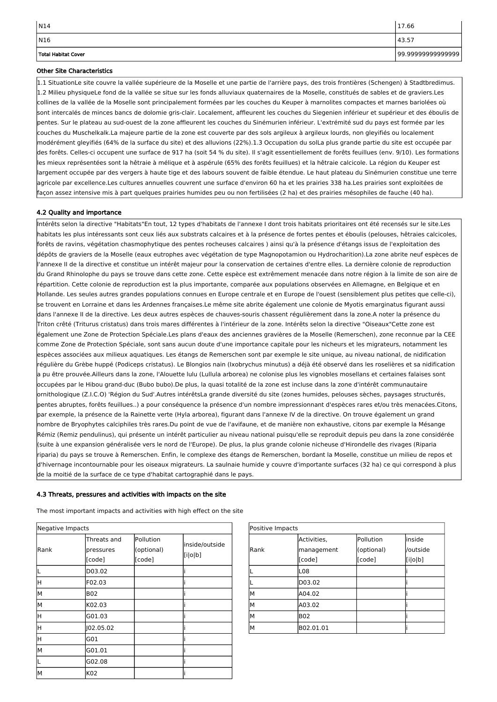| . <b>. .</b> |             |            |          |  |
|--------------|-------------|------------|----------|--|
|              | Activities, | Pollution  | inside   |  |
| Rank         | management  | (optional) | /outside |  |
|              | [code]      | [code]     | [i o b]  |  |
|              | L08         |            |          |  |
|              | D03.02      |            |          |  |
| М            | A04.02      |            |          |  |
| М            | A03.02      |            |          |  |
| М            | <b>B02</b>  |            |          |  |
| М            | B02.01.01   |            |          |  |

| Rank | Threats and<br>pressures<br>[code] | Pollution<br>(optional)<br>[code] | inside/outside<br>[i o b] |
|------|------------------------------------|-----------------------------------|---------------------------|
|      | D03.02                             |                                   |                           |
| Η    | F02.03                             |                                   |                           |
| M    | B02                                |                                   |                           |
| M    | K02.03                             |                                   |                           |
| Η    | G01.03                             |                                   |                           |
| Η    | J02.05.02                          |                                   |                           |
| H    | G01                                |                                   |                           |
| M    | G01.01                             |                                   |                           |
|      | G02.08                             |                                   |                           |
| M    | K02                                |                                   |                           |

| $\vert$ N14         | 17.66             |
|---------------------|-------------------|
| $\vert$ N16         | 43.57             |
| Total Habitat Cover | 99.99999999999999 |

## Other Site Characteristics

1.1 SituationLe site couvre la vallée supérieure de la Moselle et une partie de l'arrière pays, des trois frontières (Schengen) à Stadtbredimus. 1.2 Milieu physiqueLe fond de la vallée se situe sur les fonds alluviaux quaternaires de la Moselle, constitués de sables et de graviers.Les collines de la vallée de la Moselle sont principalement formées par les couches du Keuper à marnolites compactes et marnes bariolées où sont intercalés de minces bancs de dolomie gris-clair. Localement, affleurent les couches du Siegenien inférieur et supérieur et des éboulis de pentes. Sur le plateau au sud-ouest de la zone affleurent les couches du Sinémurien inférieur. L'extrémité sud du pays est formée par les couches du Muschelkalk.La majeure partie de la zone est couverte par des sols argileux à argileux lourds, non gleyifiés ou localement modérément gleyifiés (64% de la surface du site) et des alluvions (22%).1.3 Occupation du solLa plus grande partie du site est occupée par des forêts. Celles-ci occupent une surface de 917 ha (soit 54 % du site). Il s'agit essentiellement de forêts feuillues (env. 9/10). Les formations les mieux représentées sont la hêtraie à mélique et à aspérule (65% des forêts feuillues) et la hêtraie calcicole. La région du Keuper est largement occupée par des vergers à haute tige et des labours souvent de faible étendue. Le haut plateau du Sinémurien constitue une terre agricole par excellence.Les cultures annuelles couvrent une surface d'environ 60 ha et les prairies 338 ha.Les prairies sont exploitées de façon assez intensive mis à part quelques prairies humides peu ou non fertilisées (2 ha) et des prairies mésophiles de fauche (40 ha).

## 4.2 Quality and importance

Intérêts selon la directive "Habitats"En tout, 12 types d'habitats de l'annexe I dont trois habitats prioritaires ont été recensés sur le site.Les habitats les plus intéressants sont ceux liés aux substrats calcaires et à la présence de fortes pentes et éboulis (pelouses, hêtraies calcicoles, forêts de ravins, végétation chasmophytique des pentes rocheuses calcaires ) ainsi qu'à la présence d'étangs issus de l'exploitation des dépôts de graviers de la Moselle (eaux eutrophes avec végétation de type Magnopotamion ou Hydrocharition).La zone abrite neuf espèces de l'annexe II de la directive et constitue un intérêt majeur pour la conservation de certaines d'entre elles. La dernière colonie de reproduction du Grand Rhinolophe du pays se trouve dans cette zone. Cette espèce est extrêmement menacée dans notre région à la limite de son aire de répartition. Cette colonie de reproduction est la plus importante, comparée aux populations observées en Allemagne, en Belgique et en Hollande. Les seules autres grandes populations connues en Europe centrale et en Europe de l'ouest (sensiblement plus petites que celle-ci), se trouvent en Lorraine et dans les Ardennes françaises.Le même site abrite également une colonie de Myotis emarginatus figurant aussi dans l'annexe II de la directive. Les deux autres espèces de chauves-souris chassent régulièrement dans la zone.A noter la présence du Triton crêté (Triturus cristatus) dans trois mares différentes à l'intérieur de la zone. Intérêts selon la directive "Oiseaux"Cette zone est également une Zone de Protection Spéciale.Les plans d'eaux des anciennes gravières de la Moselle (Remerschen), zone reconnue par la CEE comme Zone de Protection Spéciale, sont sans aucun doute d'une importance capitale pour les nicheurs et les migrateurs, notamment les espèces associées aux milieux aquatiques. Les étangs de Remerschen sont par exemple le site unique, au niveau national, de nidification régulière du Grèbe huppé (Podiceps cristatus). Le Blongios nain (Ixobrychus minutus) a déjà été observé dans les roselières et sa nidification a pu être prouvée.Ailleurs dans la zone, l'Alouette lulu (Lullula arborea) ne colonise plus les vignobles mosellans et certaines falaises sont occupées par le Hibou grand-duc (Bubo bubo).De plus, la quasi totalité de la zone est incluse dans la zone d'intérêt communautaire ornithologique (Z.I.C.O) 'Région du Sud'.Autres intérêtsLa grande diversité du site (zones humides, pelouses sèches, paysages structurés, pentes abruptes, forêts feuillues..) a pour conséquence la présence d'un nombre impressionnant d'espèces rares et/ou très menacées.Citons, par exemple, la présence de la Rainette verte (Hyla arborea), figurant dans l'annexe IV de la directive. On trouve également un grand nombre de Bryophytes calciphiles très rares.Du point de vue de l'avifaune, et de manière non exhaustive, citons par exemple la Mésange Rémiz (Remiz pendulinus), qui présente un intérêt particulier au niveau national puisqu'elle se reproduit depuis peu dans la zone considérée (suite à une expansion généralisée vers le nord de l'Europe). De plus, la plus grande colonie nicheuse d'Hirondelle des rivages (Riparia riparia) du pays se trouve à Remerschen. Enfin, le complexe des étangs de Remerschen, bordant la Moselle, constitue un milieu de repos et d'hivernage incontournable pour les oiseaux migrateurs. La saulnaie humide y couvre d'importante surfaces (32 ha) ce qui correspond à plus de la moitié de la surface de ce type d'habitat cartographié dans le pays.

## 4.3 Threats, pressures and activities with impacts on the site

The most important impacts and activities with high effect on the site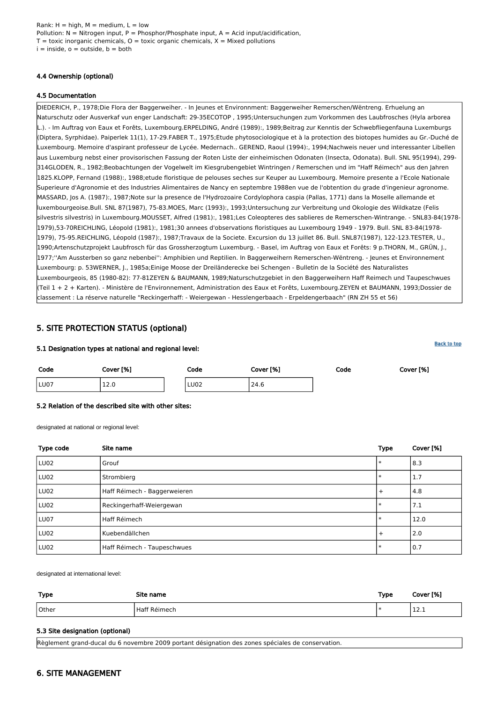Rank:  $H = high$ ,  $M = medium$ ,  $L = low$ Pollution:  $N =$  Nitrogen input, P = Phosphor/Phosphate input, A = Acid input/acidification,  $T =$  toxic inorganic chemicals,  $Q =$  toxic organic chemicals,  $X =$  Mixed pollutions  $i =$  inside,  $o =$  outside,  $b =$  both

## 4.4 Ownership (optional)

## 4.5 Documentation

DIEDERICH, P., 1978;Die Flora der Baggerweiher. - In Jeunes et Environnment: Baggerweiher Remerschen/Wëntreng. Erhuelung an Naturschutz oder Ausverkaf vun enger Landschaft: 29-35ECOTOP , 1995;Untersuchungen zum Vorkommen des Laubfrosches (Hyla arborea L.). - Im Auftrag von Eaux et Forêts, Luxembourg.ERPELDING, André (1989):, 1989;Beitrag zur Kenntis der Schwebfliegenfauna Luxemburgs (Diptera, Syrphidae). Paiperlek 11(1), 17-29.FABER T., 1975;Etude phytosociologique et à la protection des biotopes humides au Gr.-Duché de Luxembourg. Memoire d'aspirant professeur de Lycée. Medernach.. GEREND, Raoul (1994):, 1994;Nachweis neuer und interessanter Libellen aus Luxemburg nebst einer provisorischen Fassung der Roten Liste der einheimischen Odonaten (Insecta, Odonata). Bull. SNL 95(1994), 299- 314GLODEN, R., 1982;Beobachtungen der Vogelwelt im Kiesgrubengebiet Wintringen / Remerschen und im "Haff Réimech" aus den Jahren 1825.KLOPP, Fernand (1988):, 1988;etude floristique de pelouses seches sur Keuper au Luxembourg. Memoire presente a l'Ecole Nationale Superieure d'Agronomie et des Industries Alimentaires de Nancy en septembre 1988en vue de l'obtention du grade d'ingenieur agronome. MASSARD, Jos A. (1987):, 1987;Note sur la presence de l'Hydrozoaire Cordylophora caspia (Pallas, 1771) dans la Moselle allemande et luxembourgeoise.Bull. SNL 87(1987), 75-83.MOES, Marc (1993):, 1993;Untersuchung zur Verbreitung und Okologie des Wildkatze (Felis silvestris silvestris) in Luxembourg.MOUSSET, Alfred (1981):, 1981;Les Coleopteres des sablieres de Remerschen-Wintrange. - SNL83-84(1978- 1979),53-70REICHLING, Léopold (1981):, 1981;30 annees d'observations floristiques au Luxembourg 1949 - 1979. Bull. SNL 83-84(1978- 1979), 75-95.REICHLING, Léopold (1987):, 1987;Travaux de la Societe. Excursion du 13 juillet 86. Bull. SNL87(1987), 122-123.TESTER, U., 1990;Artenschutzprojekt Laubfrosch für das Grossherzogtum Luxemburg. - Basel, im Auftrag von Eaux et Forêts: 9 p.THORN, M., GRÜN, J., 1977;''Am Aussterben so ganz nebenbei'': Amphibien und Reptilien. In Baggerweihern Remerschen-Wëntreng. - Jeunes et Environnement Luxembourg: p. 53WERNER, J., 1985a;Einige Moose der Dreiländerecke bei Schengen - Bulletin de la Société des Naturalistes Luxembourgeois, 85 (1980-82): 77-81ZEYEN & BAUMANN, 1989;Naturschutzgebiet in den Baggerweihern Haff Reimech und Taupeschwues (Teil 1 + 2 + Karten). - Ministère de l'Environnement, Administration des Eaux et Forêts, Luxembourg.ZEYEN et BAUMANN, 1993;Dossier de classement : La réserve naturelle "Reckingerhaff: - Weiergewan - Hesslengerbaach - Erpeldengerbaach" (RN ZH 55 et 56)

## <span id="page-6-0"></span>5. SITE PROTECTION STATUS (optional)

#### 5.1 Designation types at national and regional level:

| Code | Cover [%]    | Code        | Cover [%] | Code | Cover [%] |
|------|--------------|-------------|-----------|------|-----------|
| LU07 | 120<br>T T T | <b>LU02</b> | 24.6      |      |           |

**[Back to top](#page-0-0)** 

#### 5.2 Relation of the described site with other sites:

designated at national or regional level:

| Type code | Site name                    | <b>Type</b> | Cover [%] |
|-----------|------------------------------|-------------|-----------|
| LU02      | Grouf                        | $\ast$      | 8.3       |
| LU02      | Strombierg                   | $\ast$      | 1.7       |
| LU02      | Haff Réimech - Baggerweieren | $+$         | 4.8       |
| LU02      | Reckingerhaff-Weiergewan     | $\ast$      | 7.1       |
| LU07      | Haff Réimech                 | $\ast$      | 12.0      |
| LU02      | Kuebendällchen               | $+$         | 2.0       |
| LU02      | Haff Réimech - Taupeschwues  | $\ast$      | 0.7       |

designated at international level:

| Type  | Site name               | Type | Cover [%]   |
|-------|-------------------------|------|-------------|
| Other | Réimecl<br>tat<br>115 U |      | <b>+4.+</b> |

#### 5.3 Site designation (optional)

Règlement grand-ducal du 6 novembre 2009 portant désignation des zones spéciales de conservation.

## <span id="page-6-1"></span>6. SITE MANAGEMENT